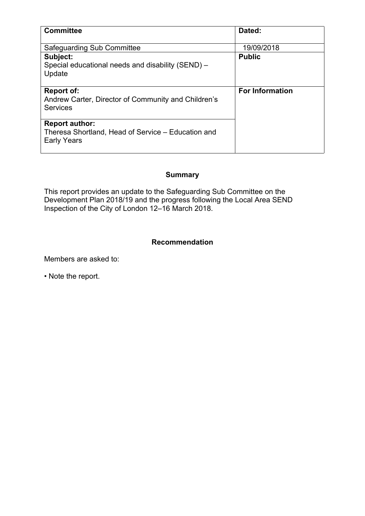| <b>Committee</b>                                                                                  | Dated:                 |
|---------------------------------------------------------------------------------------------------|------------------------|
| Safeguarding Sub Committee                                                                        | 19/09/2018             |
| Subject:<br>Special educational needs and disability (SEND) -<br>Update                           | <b>Public</b>          |
| <b>Report of:</b><br>Andrew Carter, Director of Community and Children's<br><b>Services</b>       | <b>For Information</b> |
| <b>Report author:</b><br>Theresa Shortland, Head of Service – Education and<br><b>Early Years</b> |                        |

### **Summary**

This report provides an update to the Safeguarding Sub Committee on the Development Plan 2018/19 and the progress following the Local Area SEND Inspection of the City of London 12–16 March 2018.

#### **Recommendation**

Members are asked to:

• Note the report.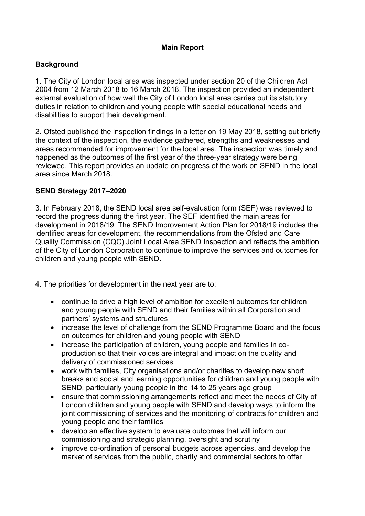### **Main Report**

#### **Background**

1. The City of London local area was inspected under section 20 of the Children Act 2004 from 12 March 2018 to 16 March 2018. The inspection provided an independent external evaluation of how well the City of London local area carries out its statutory duties in relation to children and young people with special educational needs and disabilities to support their development.

2. Ofsted published the inspection findings in a letter on 19 May 2018, setting out briefly the context of the inspection, the evidence gathered, strengths and weaknesses and areas recommended for improvement for the local area. The inspection was timely and happened as the outcomes of the first year of the three-year strategy were being reviewed. This report provides an update on progress of the work on SEND in the local area since March 2018.

### **SEND Strategy 2017–2020**

3. In February 2018, the SEND local area self-evaluation form (SEF) was reviewed to record the progress during the first year. The SEF identified the main areas for development in 2018/19. The SEND Improvement Action Plan for 2018/19 includes the identified areas for development, the recommendations from the Ofsted and Care Quality Commission (CQC) Joint Local Area SEND Inspection and reflects the ambition of the City of London Corporation to continue to improve the services and outcomes for children and young people with SEND.

4. The priorities for development in the next year are to:

- continue to drive a high level of ambition for excellent outcomes for children and young people with SEND and their families within all Corporation and partners' systems and structures
- increase the level of challenge from the SEND Programme Board and the focus on outcomes for children and young people with SEND
- increase the participation of children, young people and families in coproduction so that their voices are integral and impact on the quality and delivery of commissioned services
- work with families, City organisations and/or charities to develop new short breaks and social and learning opportunities for children and young people with SEND, particularly young people in the 14 to 25 years age group
- ensure that commissioning arrangements reflect and meet the needs of City of London children and young people with SEND and develop ways to inform the joint commissioning of services and the monitoring of contracts for children and young people and their families
- develop an effective system to evaluate outcomes that will inform our commissioning and strategic planning, oversight and scrutiny
- improve co-ordination of personal budgets across agencies, and develop the market of services from the public, charity and commercial sectors to offer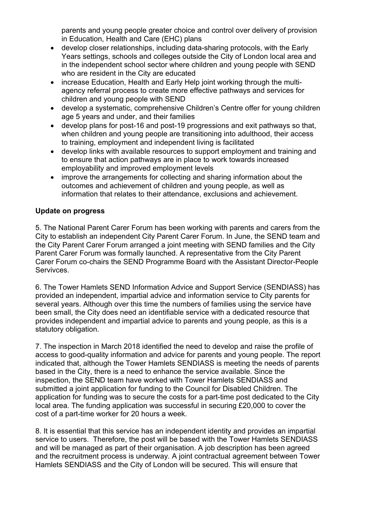parents and young people greater choice and control over delivery of provision in Education, Health and Care (EHC) plans

- develop closer relationships, including data-sharing protocols, with the Early Years settings, schools and colleges outside the City of London local area and in the independent school sector where children and young people with SEND who are resident in the City are educated
- increase Education, Health and Early Help joint working through the multiagency referral process to create more effective pathways and services for children and young people with SEND
- develop a systematic, comprehensive Children's Centre offer for young children age 5 years and under, and their families
- develop plans for post-16 and post-19 progressions and exit pathways so that, when children and young people are transitioning into adulthood, their access to training, employment and independent living is facilitated
- develop links with available resources to support employment and training and to ensure that action pathways are in place to work towards increased employability and improved employment levels
- improve the arrangements for collecting and sharing information about the outcomes and achievement of children and young people, as well as information that relates to their attendance, exclusions and achievement.

### **Update on progress**

5. The National Parent Carer Forum has been working with parents and carers from the City to establish an independent City Parent Carer Forum. In June, the SEND team and the City Parent Carer Forum arranged a joint meeting with SEND families and the City Parent Carer Forum was formally launched. A representative from the City Parent Carer Forum co-chairs the SEND Programme Board with the Assistant Director-People Servivces.

6. The Tower Hamlets SEND Information Advice and Support Service (SENDIASS) has provided an independent, impartial advice and information service to City parents for several years. Although over this time the numbers of families using the service have been small, the City does need an identifiable service with a dedicated resource that provides independent and impartial advice to parents and young people, as this is a statutory obligation.

7. The inspection in March 2018 identified the need to develop and raise the profile of access to good-quality information and advice for parents and young people. The report indicated that, although the Tower Hamlets SENDIASS is meeting the needs of parents based in the City, there is a need to enhance the service available. Since the inspection, the SEND team have worked with Tower Hamlets SENDIASS and submitted a joint application for funding to the Council for Disabled Children. The application for funding was to secure the costs for a part-time post dedicated to the City local area. The funding application was successful in securing £20,000 to cover the cost of a part-time worker for 20 hours a week.

8. It is essential that this service has an independent identity and provides an impartial service to users. Therefore, the post will be based with the Tower Hamlets SENDIASS and will be managed as part of their organisation. A job description has been agreed and the recruitment process is underway. A joint contractual agreement between Tower Hamlets SENDIASS and the City of London will be secured. This will ensure that